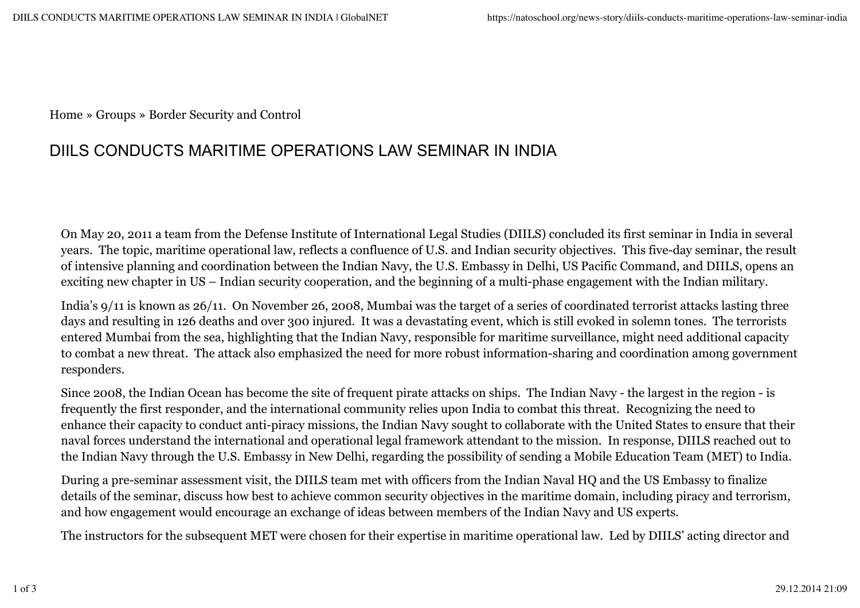Home » Groups » Border Security and Control

## DIILS CONDUCTS MARITIME OPERATIONS LAW SEMINAR IN INDIA

On May 20, 2011 a team from the Defense Institute of International Legal Studies (DIILS) concluded its first seminar in India in several years. The topic, maritime operational law, reflects a confluence of U.S. and Indian security objectives. This five-day seminar, the result of intensive planning and coordination between the Indian Navy, the U.S. Embassy in Delhi, US Pacific Command, and DIILS, opens an exciting new chapter in US – Indian security cooperation, and the beginning of a multi-phase engagement with the Indian military.

India's 9/11 is known as 26/11. On November 26, 2008, Mumbai was the target of a series of coordinated terrorist attacks lasting three days and resulting in 126 deaths and over 300 injured. It was a devastating event, which is still evoked in solemn tones. The terrorists entered Mumbai from the sea, highlighting that the Indian Navy, responsible for maritime surveillance, might need additional capacity to combat a new threat. The attack also emphasized the need for more robust information-sharing and coordination among government responders.

Since 2008, the Indian Ocean has become the site of frequent pirate attacks on ships. The Indian Navy - the largest in the region - is frequently the first responder, and the international community relies upon India to combat this threat. Recognizing the need to enhance their capacity to conduct anti-piracy missions, the Indian Navy sought to collaborate with the United States to ensure that their naval forces understand the international and operational legal framework attendant to the mission. In response, DIILS reached out to the Indian Navy through the U.S. Embassy in New Delhi, regarding the possibility of sending a Mobile Education Team (MET) to India.

During a pre-seminar assessment visit, the DIILS team met with officers from the Indian Naval HQ and the US Embassy to finalize details of the seminar, discuss how best to achieve common security objectives in the maritime domain, including piracy and terrorism, and how engagement would encourage an exchange of ideas between members of the Indian Navy and US experts.

The instructors for the subsequent MET were chosen for their expertise in maritime operational law. Led by DIILS' acting director and